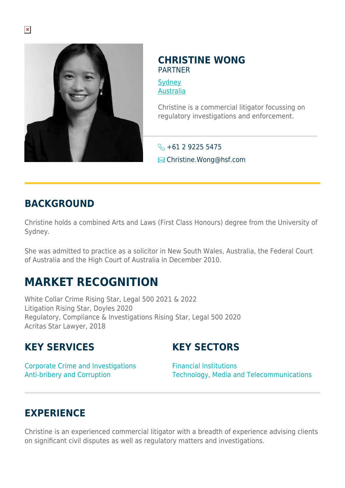

#### **CHRISTINE WONG** PARTNER

**[Sydney](https://www.herbertsmithfreehills.com/lang-ru/where-we-work/sydney)** [Australia](https://www.herbertsmithfreehills.com/lang-ru/where-we-work/australia)

Christine is a commercial litigator focussing on regulatory investigations and enforcement.

 $\leftarrow +61$  2 9225 5475 **E** Christine.Wong@hsf.com

#### **BACKGROUND**

Christine holds a combined Arts and Laws (First Class Honours) degree from the University of Sydney.

She was admitted to practice as a solicitor in New South Wales, Australia, the Federal Court of Australia and the High Court of Australia in December 2010.

# **MARKET RECOGNITION**

White Collar Crime Rising Star, Legal 500 2021 & 2022 Litigation Rising Star, Doyles 2020 Regulatory, Compliance & Investigations Rising Star, Legal 500 2020 Acritas Star Lawyer, 2018

## **KEY SERVICES**

## **KEY SECTORS**

Corporate Crime and Investigations Anti-bribery and Corruption

Financial Institutions Technology, Media and Telecommunications

## **EXPERIENCE**

Christine is an experienced commercial litigator with a breadth of experience advising clients on significant civil disputes as well as regulatory matters and investigations.